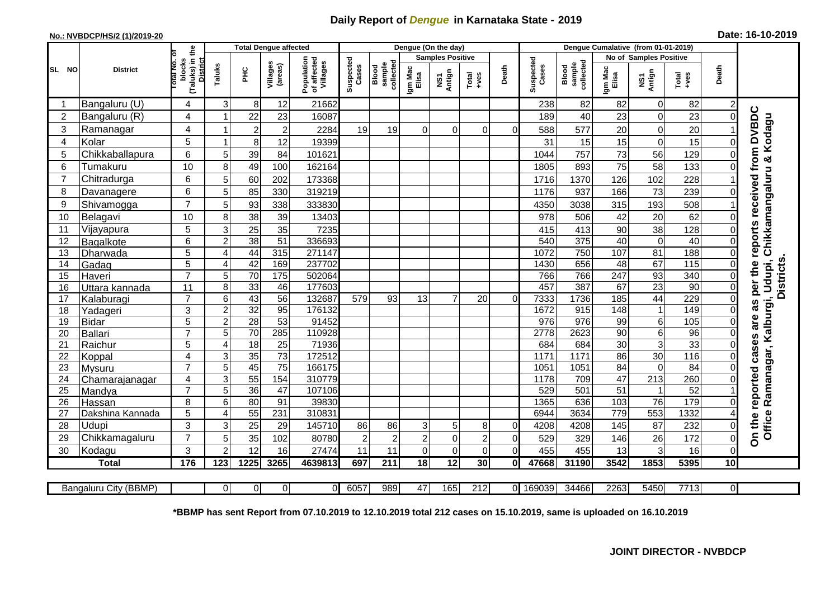## **Daily Report of** *Dengue* **in Karnataka State - 2019**

## **No.: NVBDCP/HS/2 (1)/2019-20**

|  |  | Date: 16-10-2019 |
|--|--|------------------|
|--|--|------------------|

|    |                |                       |                                                                  |                     | <b>Total Dengue affected</b> |                     |                                       |                      |                              | Dengue (On the day) |                         |                            |                            |                    |                              |                  |                               |                 |                      |                                                                    |
|----|----------------|-----------------------|------------------------------------------------------------------|---------------------|------------------------------|---------------------|---------------------------------------|----------------------|------------------------------|---------------------|-------------------------|----------------------------|----------------------------|--------------------|------------------------------|------------------|-------------------------------|-----------------|----------------------|--------------------------------------------------------------------|
|    |                |                       | Б                                                                |                     |                              |                     |                                       |                      |                              |                     | <b>Samples Positive</b> |                            |                            |                    |                              |                  | <b>No of Samples Positive</b> |                 |                      |                                                                    |
|    | SL NO          | <b>District</b>       | (Taluks) in the<br>blocks<br><b>Total No.</b><br><b>District</b> | Taluks              | ЭHС                          | Villages<br>(areas) | Population<br>of affected<br>Villages | Suspected<br>Cases   | sample<br>collected<br>Blood | Igm Mac<br>Elisa    | NS1<br>Antign           | $Tota$<br>$+ves$           | Death                      | Suspected<br>Cases | sample<br>collected<br>Blood | Igm Mac<br>Elisa | NS1<br>Antign                 | Total<br>+ves   | Death                |                                                                    |
|    |                | Bangaluru (U)         | 4                                                                | 3                   | 8                            | 12                  | 21662                                 |                      |                              |                     |                         |                            |                            | 238                | 82                           | 82               | $\boldsymbol{0}$              | 82              |                      |                                                                    |
|    | $\overline{2}$ | Bangaluru (R)         | 4                                                                |                     | 22                           | 23                  | 16087                                 |                      |                              |                     |                         |                            |                            | 189                | 40                           | 23               | $\pmb{0}$                     | 23              | $\Omega$             |                                                                    |
|    | 3              | Ramanagar             | 4                                                                |                     | $\overline{2}$               | $\overline{c}$      | 2284                                  | 19                   | 19                           | $\Omega$            | $\Omega$                | $\Omega$                   | $\Omega$                   | 588                | 577                          | 20               | $\mathbf 0$                   | 20              |                      | as per the reports received from DVBDC<br>Chikkamangaluru & Kodagu |
|    | $\overline{4}$ | Kolar                 | 5                                                                |                     | 8                            | 12                  | 19399                                 |                      |                              |                     |                         |                            |                            | 31                 | 15                           | 15               | $\mathbf 0$                   | 15              | $\Omega$             |                                                                    |
|    | 5              | Chikkaballapura       | 6                                                                | 5                   | 39                           | 84                  | 101621                                |                      |                              |                     |                         |                            |                            | 1044               | 757                          | 73               | 56                            | 129             |                      |                                                                    |
|    | 6              | Tumakuru              | 10                                                               | 8                   | 49                           | 100                 | 162164                                |                      |                              |                     |                         |                            |                            | 1805               | 893                          | 75               | 58                            | 133             |                      |                                                                    |
| 7  |                | Chitradurga           | 6                                                                | 5                   | 60                           | 202                 | 173368                                |                      |                              |                     |                         |                            |                            | 1716               | 1370                         | 126              | 102                           | 228             |                      |                                                                    |
|    | 8              | Davanagere            | 6                                                                | 5                   | 85                           | 330                 | 319219                                |                      |                              |                     |                         |                            |                            | 1176               | 937                          | 166              | 73                            | 239             | $\Omega$             |                                                                    |
|    | 9              | Shivamogga            | $\overline{7}$                                                   | 5                   | 93                           | 338                 | 333830                                |                      |                              |                     |                         |                            |                            | 4350               | 3038                         | 315              | 193                           | 508             |                      |                                                                    |
|    | 10             | Belagavi              | 10                                                               | 8                   | 38                           | 39                  | 13403                                 |                      |                              |                     |                         |                            |                            | 978                | 506                          | 42               | 20                            | 62              | 0                    |                                                                    |
| 11 |                | Vijayapura            | 5                                                                | 3                   | 25                           | 35                  | 7235                                  |                      |                              |                     |                         |                            |                            | 415                | 413                          | 90               | 38                            | 128             | $\Omega$             |                                                                    |
| 12 |                | Bagalkote             | 6                                                                | $\overline{c}$      | 38                           | 51                  | 336693                                |                      |                              |                     |                         |                            |                            | 540                | $\overline{375}$             | 40               | $\pmb{0}$                     | 40              | 0                    |                                                                    |
|    | 13             | Dharwada              | $\overline{5}$                                                   | $\overline{4}$      | 44                           | 315                 | 271147                                |                      |                              |                     |                         |                            |                            | 1072               | 750                          | 107              | 81                            | 188             | 0                    |                                                                    |
|    | 14             | Gadag                 | $\overline{5}$                                                   | 4                   | 42                           | 169                 | 237702                                |                      |                              |                     |                         |                            |                            | 1430               | 656                          | 48               | 67                            | 115             | 0                    |                                                                    |
|    | 15             | Haveri                | $\overline{7}$                                                   | 5                   | 70                           | 175                 | 502064                                |                      |                              |                     |                         |                            |                            | 766                | 766                          | 247              | 93                            | 340             | 0                    |                                                                    |
|    | 16             | Uttara kannada        | 11                                                               | 8                   | 33                           | 46                  | 177603                                |                      |                              |                     |                         |                            |                            | 457                | 387                          | 67               | $\overline{23}$               | $\overline{90}$ | $\Omega$             | <b>Districts</b><br>Udupi,                                         |
| 17 |                | Kalaburagi            | $\overline{7}$                                                   | 6                   | 43                           | $\overline{56}$     | 132687                                | 579                  | 93                           | 13                  | $\overline{7}$          | 20                         | $\Omega$                   | 7333               | 1736                         | 185              | 44                            | 229             | 0                    |                                                                    |
|    | 18             | Yadageri              | 3                                                                | $\overline{c}$      | 32                           | 95                  | 176132                                |                      |                              |                     |                         |                            |                            | 1672               | 915                          | 148              | $\mathbf{1}$                  | 149             | 0                    |                                                                    |
|    | 19             | <b>Bidar</b>          | 5                                                                | $\mathbf 2$         | $\overline{28}$              | 53                  | 91452                                 |                      |                              |                     |                         |                            |                            | 976                | $\overline{976}$             | 99               | $\,6$                         | 105             | $\Omega$             |                                                                    |
|    | 20             | Ballari               | $\overline{7}$                                                   | 5                   | 70                           | 285                 | 110928                                |                      |                              |                     |                         |                            |                            | 2778               | 2623                         | 90               | $6\overline{6}$               | 96              | $\Omega$             |                                                                    |
| 21 |                | Raichur               | 5                                                                | 4                   | 18                           | $\overline{25}$     | 71936                                 |                      |                              |                     |                         |                            |                            | 684                | 684                          | 30               | $\overline{3}$                | 33              | $\Omega$             | Ramanagar, Kalburgi,                                               |
|    | 22             | Koppal                | $\overline{\mathbf{4}}$                                          | 3                   | 35                           | $\overline{73}$     | 172512                                |                      |                              |                     |                         |                            |                            | 1171               | 1171                         | 86               | 30                            | 116             | $\Omega$             |                                                                    |
|    | 23             | Mysuru                | $\overline{7}$                                                   | $\overline{5}$      | 45                           | $\overline{75}$     | 166175                                |                      |                              |                     |                         |                            |                            | 1051               | 1051                         | 84               | $\mathbf 0$                   | 84              | 0                    |                                                                    |
|    | 24             | Chamarajanagar        | 4                                                                | 3                   | 55                           | 154                 | 310779                                |                      |                              |                     |                         |                            |                            | 1178               | 709                          | 47               | $\overline{213}$              | 260             | 0                    |                                                                    |
|    | 25             | Mandya                | $\overline{7}$                                                   | 5                   | $\overline{36}$              | $\overline{47}$     | 107106                                |                      |                              |                     |                         |                            |                            | 529                | 501                          | 51               | -1                            | 52              |                      |                                                                    |
|    | 26             | Hassan                | 8                                                                | 6<br>$\overline{4}$ | 80                           | 91                  | 39830                                 |                      |                              |                     |                         |                            |                            | 1365               | 636                          | 103<br>779       | 76                            | 179             | $\Omega$             |                                                                    |
| 27 |                | Dakshina Kannada      | 5                                                                |                     | 55                           | 231                 | 310831                                |                      |                              |                     |                         |                            |                            | 6944               | 3634                         |                  | 553                           | 1332            |                      |                                                                    |
|    | 28<br>29       | <b>Udupi</b>          | 3<br>$\overline{7}$                                              | 3                   | 25                           | 29<br>102           | 145710                                | 86                   | 86                           | 3<br>$\overline{c}$ | 5<br>$\overline{0}$     | 8                          | $\overline{0}$             | 4208               | 4208                         | 145              | 87                            | 232             | $\Omega$<br>$\Omega$ | On the reported cases are<br>Office                                |
|    | 30             | Chikkamagaluru        | 3                                                                | 5<br>$\overline{2}$ | 35<br>12                     | 16                  | 80780<br>27474                        | $\overline{2}$<br>11 | $\overline{2}$<br>11         | $\mathbf 0$         | $\mathbf 0$             | $\overline{c}$<br>$\Omega$ | $\overline{0}$<br>$\Omega$ | 529<br>455         | 329<br>455                   | 146<br>13        | 26<br>3                       | 172<br>16       | $\Omega$             |                                                                    |
|    |                | Kodagu                |                                                                  |                     | 1225                         |                     |                                       |                      |                              |                     | $\overline{12}$         |                            |                            |                    |                              |                  | 1853                          |                 |                      |                                                                    |
|    |                | <b>Total</b>          | 176                                                              | 123                 |                              | 3265                | 4639813                               | 697                  | 211                          | 18                  |                         | 30                         | Οl                         | 47668              | 31190                        | 3542             |                               | 5395            | 10                   |                                                                    |
|    |                | Bangaluru City (BBMP) |                                                                  | $\Omega$            | $\Omega$                     | $\overline{0}$      | ΟI                                    | 6057                 | 989                          | 47                  | 165                     | $\overline{212}$           | ΟI                         | 169039             | 34466                        | 2263             | 5450                          | 7713            | $\overline{0}$       |                                                                    |
|    |                |                       |                                                                  |                     |                              |                     |                                       |                      |                              |                     |                         |                            |                            |                    |                              |                  |                               |                 |                      |                                                                    |

**\*BBMP has sent Report from 07.10.2019 to 12.10.2019 total 212 cases on 15.10.2019, same is uploaded on 16.10.2019**